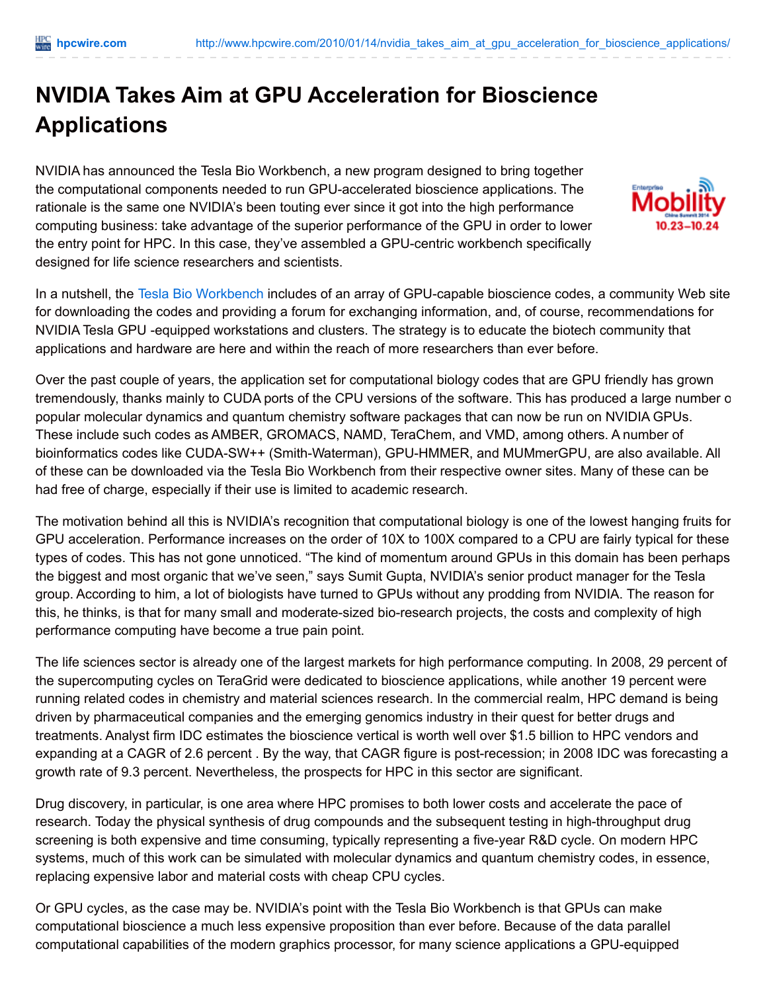## **NVIDIA Takes Aim at GPU Acceleration for Bioscience Applications**

NVIDIA has announced the Tesla Bio Workbench, a new program designed to bring together the computational components needed to run GPU-accelerated bioscience applications. The rationale is the same one NVIDIA's been touting ever since it got into the high performance computing business: take advantage of the superior performance of the GPU in order to lower the entry point for HPC. In this case, they've assembled a GPU-centric workbench specifically designed for life science researchers and scientists.



In a nutshell, the Tesla Bio [Workbench](http://www.nvidia.com/object/tesla_bio_workbench.html) includes of an array of GPU-capable bioscience codes, a community Web site for downloading the codes and providing a forum for exchanging information, and, of course, recommendations for NVIDIA Tesla GPU -equipped workstations and clusters. The strategy is to educate the biotech community that applications and hardware are here and within the reach of more researchers than ever before.

Over the past couple of years, the application set for computational biology codes that are GPU friendly has grown tremendously, thanks mainly to CUDA ports of the CPU versions of the software. This has produced a large number of popular molecular dynamics and quantum chemistry software packages that can now be run on NVIDIA GPUs. These include such codes as AMBER, GROMACS, NAMD, TeraChem, and VMD, among others. A number of bioinformatics codes like CUDA-SW++ (Smith-Waterman), GPU-HMMER, and MUMmerGPU, are also available. All of these can be downloaded via the Tesla Bio Workbench from their respective owner sites. Many of these can be had free of charge, especially if their use is limited to academic research.

The motivation behind all this is NVIDIA's recognition that computational biology is one of the lowest hanging fruits for GPU acceleration. Performance increases on the order of 10X to 100X compared to a CPU are fairly typical for these types of codes. This has not gone unnoticed. "The kind of momentum around GPUs in this domain has been perhaps the biggest and most organic that we've seen," says Sumit Gupta, NVIDIA's senior product manager for the Tesla group. According to him, a lot of biologists have turned to GPUs without any prodding from NVIDIA. The reason for this, he thinks, is that for many small and moderate-sized bio-research projects, the costs and complexity of high performance computing have become a true pain point.

The life sciences sector is already one of the largest markets for high performance computing. In 2008, 29 percent of the supercomputing cycles on TeraGrid were dedicated to bioscience applications, while another 19 percent were running related codes in chemistry and material sciences research. In the commercial realm, HPC demand is being driven by pharmaceutical companies and the emerging genomics industry in their quest for better drugs and treatments. Analyst firm IDC estimates the bioscience vertical is worth well over \$1.5 billion to HPC vendors and expanding at a CAGR of 2.6 percent . By the way, that CAGR figure is post-recession; in 2008 IDC was forecasting a growth rate of 9.3 percent. Nevertheless, the prospects for HPC in this sector are significant.

Drug discovery, in particular, is one area where HPC promises to both lower costs and accelerate the pace of research. Today the physical synthesis of drug compounds and the subsequent testing in high-throughput drug screening is both expensive and time consuming, typically representing a five-year R&D cycle. On modern HPC systems, much of this work can be simulated with molecular dynamics and quantum chemistry codes, in essence, replacing expensive labor and material costs with cheap CPU cycles.

Or GPU cycles, as the case may be. NVIDIA's point with the Tesla Bio Workbench is that GPUs can make computational bioscience a much less expensive proposition than ever before. Because of the data parallel computational capabilities of the modern graphics processor, for many science applications a GPU-equipped